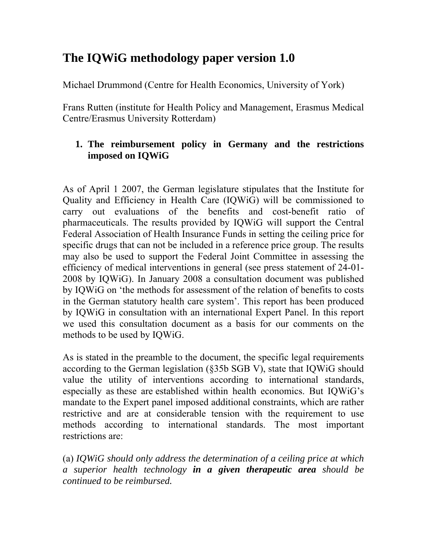# **The IQWiG methodology paper version 1.0**

Michael Drummond (Centre for Health Economics, University of York)

Frans Rutten (institute for Health Policy and Management, Erasmus Medical Centre/Erasmus University Rotterdam)

# **1. The reimbursement policy in Germany and the restrictions imposed on IQWiG**

As of April 1 2007, the German legislature stipulates that the Institute for Quality and Efficiency in Health Care (IQWiG) will be commissioned to carry out evaluations of the benefits and cost-benefit ratio of pharmaceuticals. The results provided by IQWiG will support the Central Federal Association of Health Insurance Funds in setting the ceiling price for specific drugs that can not be included in a reference price group. The results may also be used to support the Federal Joint Committee in assessing the efficiency of medical interventions in general (see press statement of 24-01- 2008 by IQWiG). In January 2008 a consultation document was published by IQWiG on 'the methods for assessment of the relation of benefits to costs in the German statutory health care system'. This report has been produced by IQWiG in consultation with an international Expert Panel. In this report we used this consultation document as a basis for our comments on the methods to be used by IQWiG.

As is stated in the preamble to the document, the specific legal requirements according to the German legislation (§35b SGB V), state that IQWiG should value the utility of interventions according to international standards, especially as these are established within health economics. But IQWiG's mandate to the Expert panel imposed additional constraints, which are rather restrictive and are at considerable tension with the requirement to use methods according to international standards. The most important restrictions are:

(a) *IQWiG should only address the determination of a ceiling price at which a superior health technology in a given therapeutic area should be continued to be reimbursed.*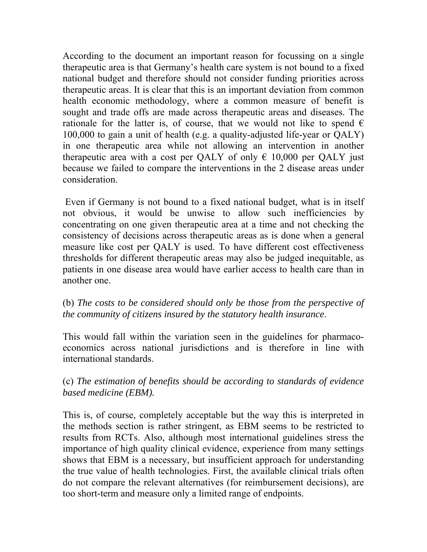According to the document an important reason for focussing on a single therapeutic area is that Germany's health care system is not bound to a fixed national budget and therefore should not consider funding priorities across therapeutic areas. It is clear that this is an important deviation from common health economic methodology, where a common measure of benefit is sought and trade offs are made across therapeutic areas and diseases. The rationale for the latter is, of course, that we would not like to spend  $\epsilon$ 100,000 to gain a unit of health (e.g. a quality-adjusted life-year or QALY) in one therapeutic area while not allowing an intervention in another therapeutic area with a cost per QALY of only  $\epsilon$  10,000 per QALY just because we failed to compare the interventions in the 2 disease areas under consideration.

 Even if Germany is not bound to a fixed national budget, what is in itself not obvious, it would be unwise to allow such inefficiencies by concentrating on one given therapeutic area at a time and not checking the consistency of decisions across therapeutic areas as is done when a general measure like cost per QALY is used. To have different cost effectiveness thresholds for different therapeutic areas may also be judged inequitable, as patients in one disease area would have earlier access to health care than in another one.

## (b) *The costs to be considered should only be those from the perspective of the community of citizens insured by the statutory health insurance*.

This would fall within the variation seen in the guidelines for pharmacoeconomics across national jurisdictions and is therefore in line with international standards.

#### (c) *The estimation of benefits should be according to standards of evidence based medicine (EBM).*

This is, of course, completely acceptable but the way this is interpreted in the methods section is rather stringent, as EBM seems to be restricted to results from RCTs. Also, although most international guidelines stress the importance of high quality clinical evidence, experience from many settings shows that EBM is a necessary, but insufficient approach for understanding the true value of health technologies. First, the available clinical trials often do not compare the relevant alternatives (for reimbursement decisions), are too short-term and measure only a limited range of endpoints.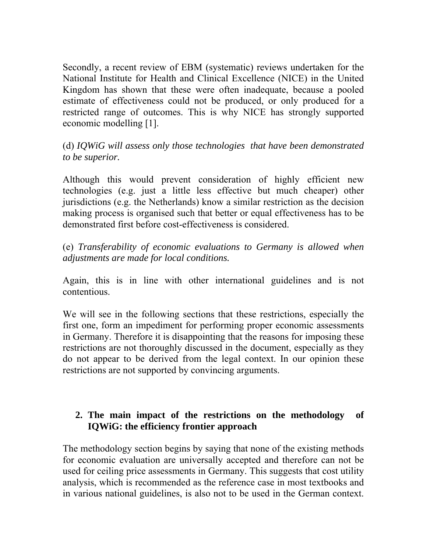Secondly, a recent review of EBM (systematic) reviews undertaken for the National Institute for Health and Clinical Excellence (NICE) in the United Kingdom has shown that these were often inadequate, because a pooled estimate of effectiveness could not be produced, or only produced for a restricted range of outcomes. This is why NICE has strongly supported economic modelling [1].

(d) *IQWiG will assess only those technologies that have been demonstrated to be superior.* 

Although this would prevent consideration of highly efficient new technologies (e.g. just a little less effective but much cheaper) other jurisdictions (e.g. the Netherlands) know a similar restriction as the decision making process is organised such that better or equal effectiveness has to be demonstrated first before cost-effectiveness is considered.

(e) *Transferability of economic evaluations to Germany is allowed when adjustments are made for local conditions.* 

Again, this is in line with other international guidelines and is not contentious.

We will see in the following sections that these restrictions, especially the first one, form an impediment for performing proper economic assessments in Germany. Therefore it is disappointing that the reasons for imposing these restrictions are not thoroughly discussed in the document, especially as they do not appear to be derived from the legal context. In our opinion these restrictions are not supported by convincing arguments.

## **2. The main impact of the restrictions on the methodology of IQWiG: the efficiency frontier approach**

The methodology section begins by saying that none of the existing methods for economic evaluation are universally accepted and therefore can not be used for ceiling price assessments in Germany. This suggests that cost utility analysis, which is recommended as the reference case in most textbooks and in various national guidelines, is also not to be used in the German context.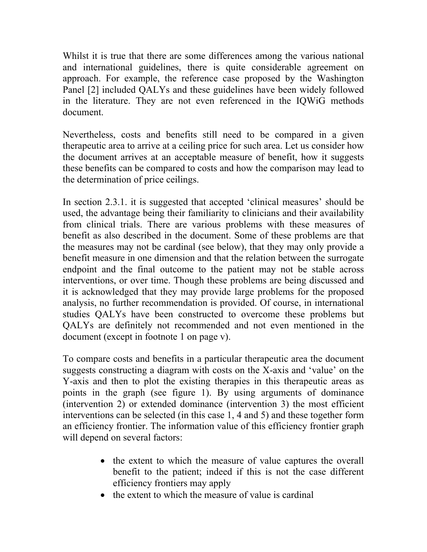Whilst it is true that there are some differences among the various national and international guidelines, there is quite considerable agreement on approach. For example, the reference case proposed by the Washington Panel [2] included QALYs and these guidelines have been widely followed in the literature. They are not even referenced in the IQWiG methods document.

Nevertheless, costs and benefits still need to be compared in a given therapeutic area to arrive at a ceiling price for such area. Let us consider how the document arrives at an acceptable measure of benefit, how it suggests these benefits can be compared to costs and how the comparison may lead to the determination of price ceilings.

In section 2.3.1. it is suggested that accepted 'clinical measures' should be used, the advantage being their familiarity to clinicians and their availability from clinical trials. There are various problems with these measures of benefit as also described in the document. Some of these problems are that the measures may not be cardinal (see below), that they may only provide a benefit measure in one dimension and that the relation between the surrogate endpoint and the final outcome to the patient may not be stable across interventions, or over time. Though these problems are being discussed and it is acknowledged that they may provide large problems for the proposed analysis, no further recommendation is provided. Of course, in international studies QALYs have been constructed to overcome these problems but QALYs are definitely not recommended and not even mentioned in the document (except in footnote 1 on page v).

To compare costs and benefits in a particular therapeutic area the document suggests constructing a diagram with costs on the X-axis and 'value' on the Y-axis and then to plot the existing therapies in this therapeutic areas as points in the graph (see figure 1). By using arguments of dominance (intervention 2) or extended dominance (intervention 3) the most efficient interventions can be selected (in this case 1, 4 and 5) and these together form an efficiency frontier. The information value of this efficiency frontier graph will depend on several factors:

- the extent to which the measure of value captures the overall benefit to the patient; indeed if this is not the case different efficiency frontiers may apply
- the extent to which the measure of value is cardinal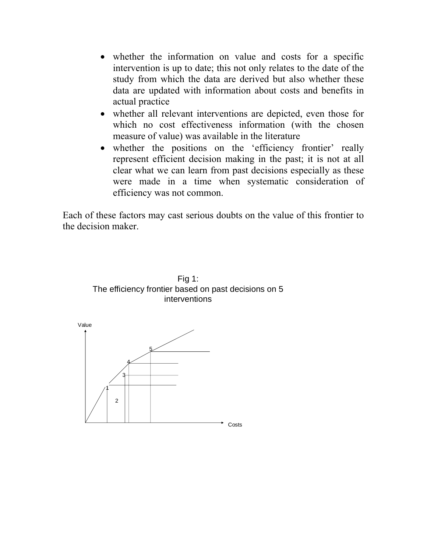- whether the information on value and costs for a specific intervention is up to date; this not only relates to the date of the study from which the data are derived but also whether these data are updated with information about costs and benefits in actual practice
- whether all relevant interventions are depicted, even those for which no cost effectiveness information (with the chosen measure of value) was available in the literature
- whether the positions on the 'efficiency frontier' really represent efficient decision making in the past; it is not at all clear what we can learn from past decisions especially as these were made in a time when systematic consideration of efficiency was not common.

Each of these factors may cast serious doubts on the value of this frontier to the decision maker.



Fig 1: The efficiency frontier based on past decisions on 5 interventions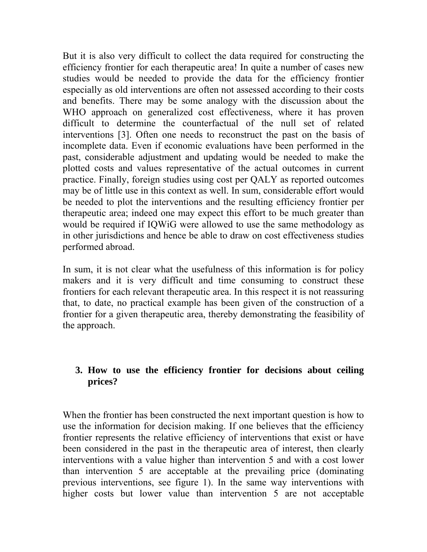But it is also very difficult to collect the data required for constructing the efficiency frontier for each therapeutic area! In quite a number of cases new studies would be needed to provide the data for the efficiency frontier especially as old interventions are often not assessed according to their costs and benefits. There may be some analogy with the discussion about the WHO approach on generalized cost effectiveness, where it has proven difficult to determine the counterfactual of the null set of related interventions [3]. Often one needs to reconstruct the past on the basis of incomplete data. Even if economic evaluations have been performed in the past, considerable adjustment and updating would be needed to make the plotted costs and values representative of the actual outcomes in current practice. Finally, foreign studies using cost per QALY as reported outcomes may be of little use in this context as well. In sum, considerable effort would be needed to plot the interventions and the resulting efficiency frontier per therapeutic area; indeed one may expect this effort to be much greater than would be required if IQWiG were allowed to use the same methodology as in other jurisdictions and hence be able to draw on cost effectiveness studies performed abroad.

In sum, it is not clear what the usefulness of this information is for policy makers and it is very difficult and time consuming to construct these frontiers for each relevant therapeutic area. In this respect it is not reassuring that, to date, no practical example has been given of the construction of a frontier for a given therapeutic area, thereby demonstrating the feasibility of the approach.

# **3. How to use the efficiency frontier for decisions about ceiling prices?**

When the frontier has been constructed the next important question is how to use the information for decision making. If one believes that the efficiency frontier represents the relative efficiency of interventions that exist or have been considered in the past in the therapeutic area of interest, then clearly interventions with a value higher than intervention 5 and with a cost lower than intervention 5 are acceptable at the prevailing price (dominating previous interventions, see figure 1). In the same way interventions with higher costs but lower value than intervention 5 are not acceptable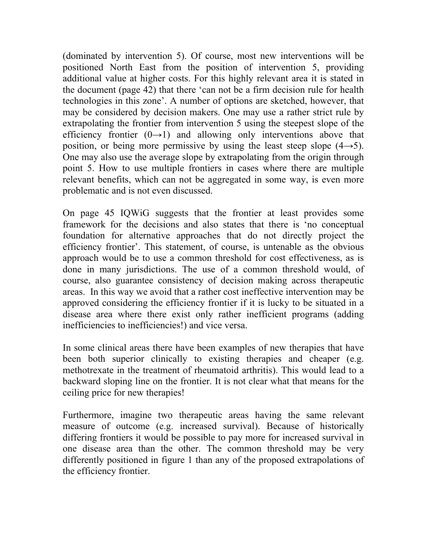(dominated by intervention 5). Of course, most new interventions will be positioned North East from the position of intervention 5, providing additional value at higher costs. For this highly relevant area it is stated in the document (page 42) that there 'can not be a firm decision rule for health technologies in this zone'. A number of options are sketched, however, that may be considered by decision makers. One may use a rather strict rule by extrapolating the frontier from intervention 5 using the steepest slope of the efficiency frontier  $(0\rightarrow 1)$  and allowing only interventions above that position, or being more permissive by using the least steep slope  $(4\rightarrow 5)$ . One may also use the average slope by extrapolating from the origin through point 5. How to use multiple frontiers in cases where there are multiple relevant benefits, which can not be aggregated in some way, is even more problematic and is not even discussed.

On page 45 IQWiG suggests that the frontier at least provides some framework for the decisions and also states that there is 'no conceptual foundation for alternative approaches that do not directly project the efficiency frontier'. This statement, of course, is untenable as the obvious approach would be to use a common threshold for cost effectiveness, as is done in many jurisdictions. The use of a common threshold would, of course, also guarantee consistency of decision making across therapeutic areas. In this way we avoid that a rather cost ineffective intervention may be approved considering the efficiency frontier if it is lucky to be situated in a disease area where there exist only rather inefficient programs (adding inefficiencies to inefficiencies!) and vice versa.

In some clinical areas there have been examples of new therapies that have been both superior clinically to existing therapies and cheaper (e.g. methotrexate in the treatment of rheumatoid arthritis). This would lead to a backward sloping line on the frontier. It is not clear what that means for the ceiling price for new therapies!

Furthermore, imagine two therapeutic areas having the same relevant measure of outcome (e.g. increased survival). Because of historically differing frontiers it would be possible to pay more for increased survival in one disease area than the other. The common threshold may be very differently positioned in figure 1 than any of the proposed extrapolations of the efficiency frontier.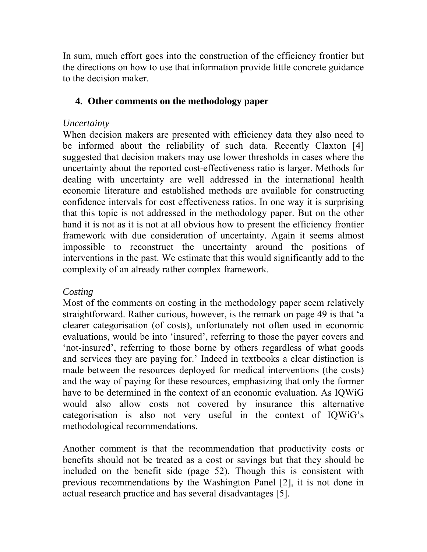In sum, much effort goes into the construction of the efficiency frontier but the directions on how to use that information provide little concrete guidance to the decision maker.

## **4. Other comments on the methodology paper**

# *Uncertainty*

When decision makers are presented with efficiency data they also need to be informed about the reliability of such data. Recently Claxton [4] suggested that decision makers may use lower thresholds in cases where the uncertainty about the reported cost-effectiveness ratio is larger. Methods for dealing with uncertainty are well addressed in the international health economic literature and established methods are available for constructing confidence intervals for cost effectiveness ratios. In one way it is surprising that this topic is not addressed in the methodology paper. But on the other hand it is not as it is not at all obvious how to present the efficiency frontier framework with due consideration of uncertainty. Again it seems almost impossible to reconstruct the uncertainty around the positions of interventions in the past. We estimate that this would significantly add to the complexity of an already rather complex framework.

# *Costing*

Most of the comments on costing in the methodology paper seem relatively straightforward. Rather curious, however, is the remark on page 49 is that 'a clearer categorisation (of costs), unfortunately not often used in economic evaluations, would be into 'insured', referring to those the payer covers and 'not-insured', referring to those borne by others regardless of what goods and services they are paying for.' Indeed in textbooks a clear distinction is made between the resources deployed for medical interventions (the costs) and the way of paying for these resources, emphasizing that only the former have to be determined in the context of an economic evaluation. As IQWiG would also allow costs not covered by insurance this alternative categorisation is also not very useful in the context of IQWiG's methodological recommendations.

Another comment is that the recommendation that productivity costs or benefits should not be treated as a cost or savings but that they should be included on the benefit side (page 52). Though this is consistent with previous recommendations by the Washington Panel [2], it is not done in actual research practice and has several disadvantages [5].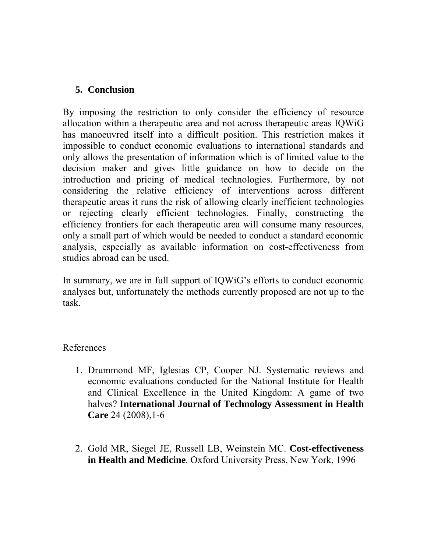#### **5. Conclusion**

By imposing the restriction to only consider the efficiency of resource allocation within a therapeutic area and not across therapeutic areas IQWiG has manoeuvred itself into a difficult position. This restriction makes it impossible to conduct economic evaluations to international standards and only allows the presentation of information which is of limited value to the decision maker and gives little guidance on how to decide on the introduction and pricing of medical technologies. Furthermore, by not considering the relative efficiency of interventions across different therapeutic areas it runs the risk of allowing clearly inefficient technologies or rejecting clearly efficient technologies. Finally, constructing the efficiency frontiers for each therapeutic area will consume many resources, only a small part of which would be needed to conduct a standard economic analysis, especially as available information on cost-effectiveness from studies abroad can be used.

In summary, we are in full support of IQWiG's efforts to conduct economic analyses but, unfortunately the methods currently proposed are not up to the task.

#### References

- 1. Drummond MF, Iglesias CP, Cooper NJ. Systematic reviews and economic evaluations conducted for the National Institute for Health and Clinical Excellence in the United Kingdom: A game of two halves? **International Journal of Technology Assessment in Health Care** 24 (2008),1-6
- 2. Gold MR, Siegel JE, Russell LB, Weinstein MC. **Cost-effectiveness in Health and Medicine**. Oxford University Press, New York, 1996